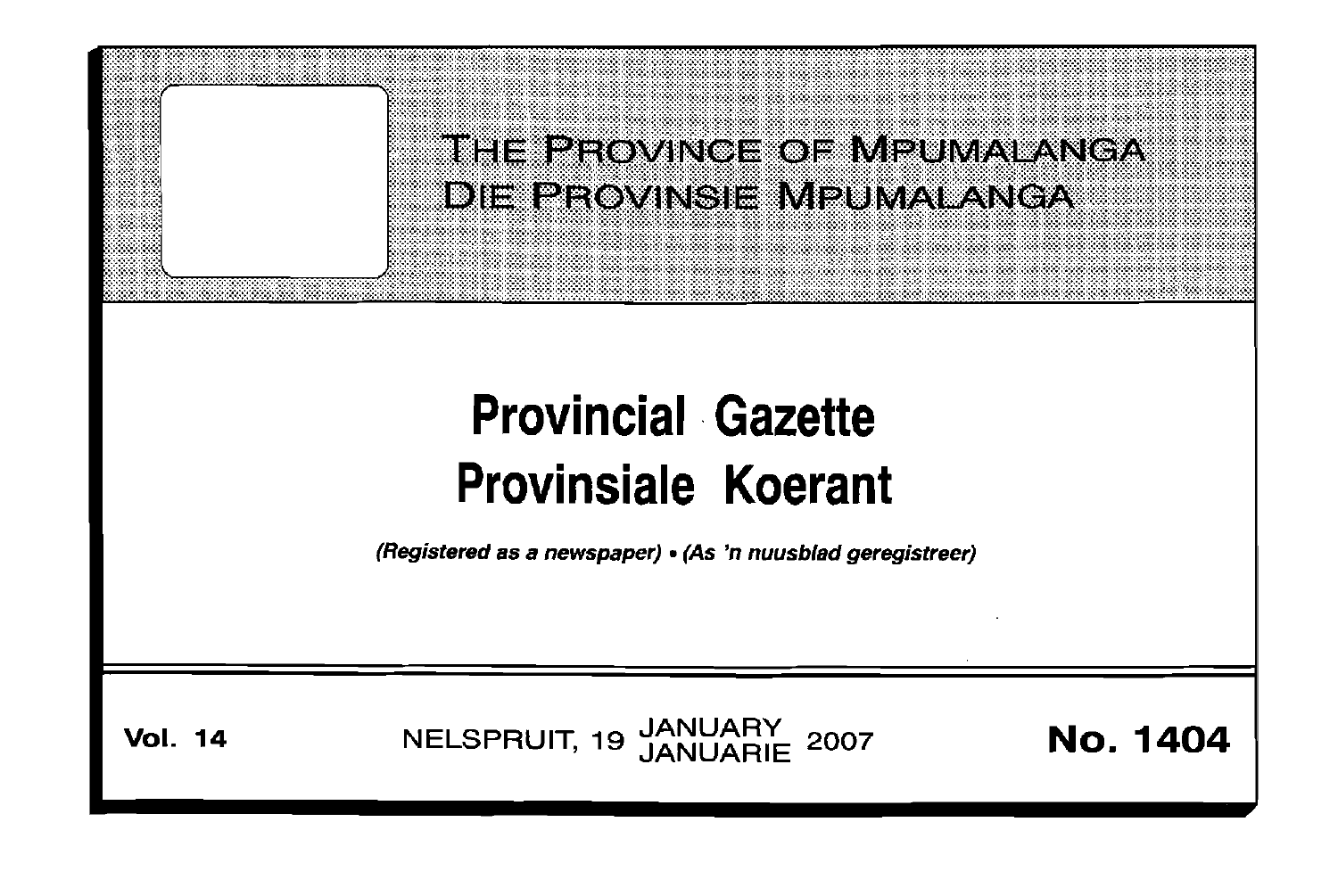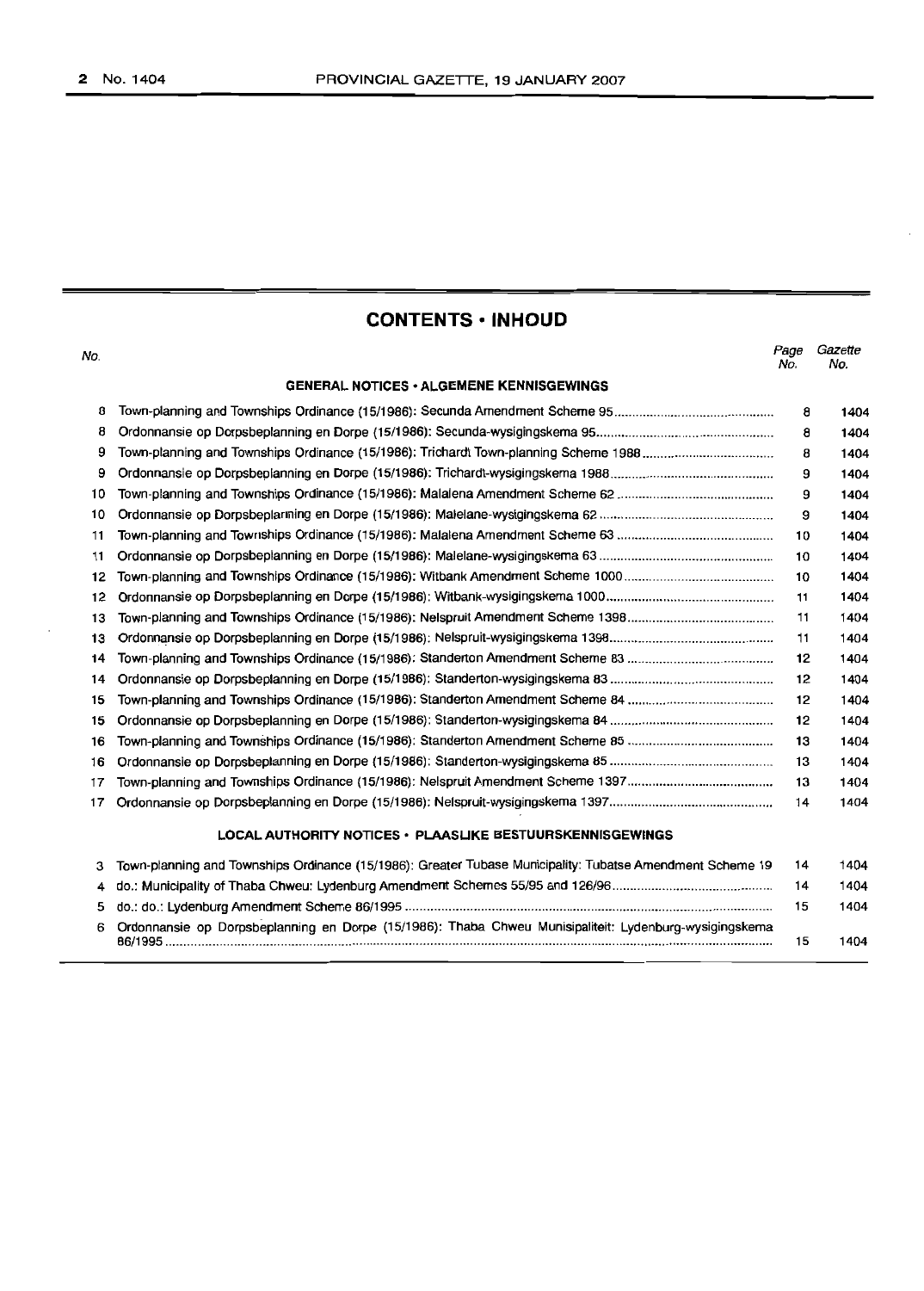# **CONTENTS· INHOUD**

 $\ddot{\phantom{a}}$ 

| No. |                                                                                                           | Page<br>No. | Gazette<br>No. |
|-----|-----------------------------------------------------------------------------------------------------------|-------------|----------------|
|     | <b>GENERAL NOTICES • ALGEMENE KENNISGEWINGS</b>                                                           |             |                |
| 8   |                                                                                                           | 8           | 1404           |
| 8   |                                                                                                           | 8           | 1404           |
| 9   |                                                                                                           | 8           | 1404           |
| 9   |                                                                                                           | 9           | 1404           |
| 10  |                                                                                                           | 9           | 1404           |
| 10  |                                                                                                           | 9           | 1404           |
| 11  |                                                                                                           | 10          | 1404           |
| 11  |                                                                                                           | 10          | 1404           |
| 12  |                                                                                                           | 10          | 1404           |
| 12  |                                                                                                           | 11          | 1404           |
| 13  |                                                                                                           | 11          | 1404           |
| 13  |                                                                                                           | 11          | 1404           |
| 14  |                                                                                                           | 12          | 1404           |
| 14  |                                                                                                           | 12          | 1404           |
| 15  |                                                                                                           | 12          | 1404           |
| 15  |                                                                                                           | 12          | 1404           |
| 16  |                                                                                                           | 13          | 1404           |
| 16  |                                                                                                           | 13          | 1404           |
| 17  |                                                                                                           | 13          | 1404           |
| 17  |                                                                                                           | 14          | 1404           |
|     | LOCAL AUTHORITY NOTICES · PLAASLIKE BESTUURSKENNISGEWINGS                                                 |             |                |
| з   | Town-planning and Townships Ordinance (15/1986): Greater Tubase Municipality: Tubatse Amendment Scheme 19 | 14          | 1404           |
| 4   |                                                                                                           | 14          | 1404           |
| 5   |                                                                                                           | 15          | 1404           |
| 6   | Ordonnansie op Dorpsbeplanning en Dorpe (15/1986): Thaba Chweu Munisipaliteit: Lydenburg-wysigingskema    | 15          | 1404           |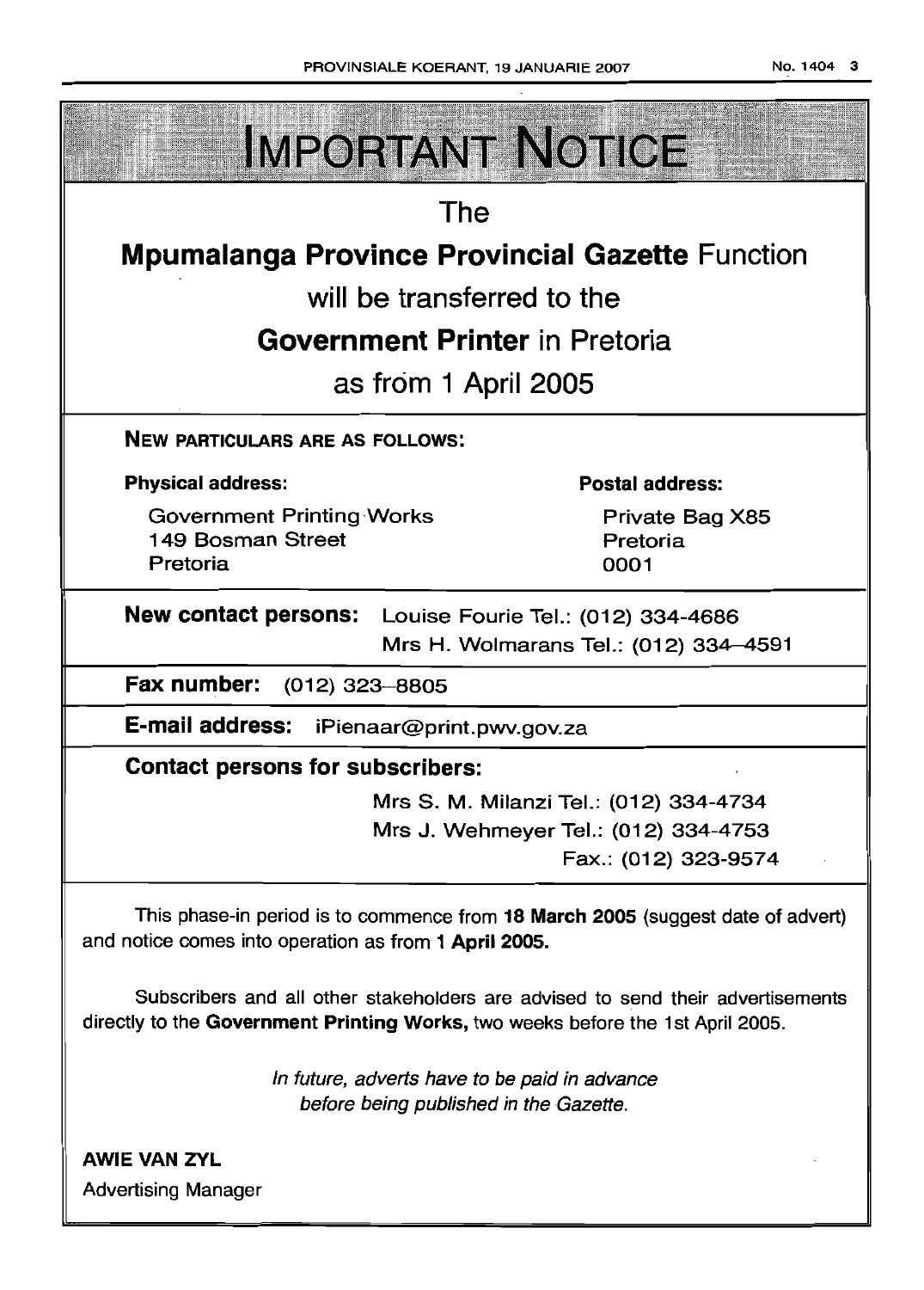**IMPORTANT NOTICE** The **Mpumalanga Province Provincial Gazette** Function will be transferred to the **Government Printer** in Pretoria as from 1 April 2005 NEW PARTICULARS ARE AS FOLLOWS: Physical address: Postal address: Government Printing Works Private Bag X85 149 Bosman Street Pretoria Pretoria 0001 New contact persons: Louise Fourie Tel.: (012) 334-4686 Mrs H. Wolmarans Tel.: (012) 334-4591 Fax number: (012) 323-8805 E-mail address: iPienaar@print.pwv.gov.za Contact persons for subscribers: Mrs S. M. Milanzi Tel.: (012) 334-4734 Mrs J. Wehmeyer Tel.: (012) 334-4753 Fax.: (012) 323-9574 This phase-in period is to commence from 18 March 2005 (suggest date of advert) and notice comes into operation as from 1 April 2005. Subscribers and all other stakeholders are advised to send their advertisements directly to the Government Printing Works, two weeks before the 1st April 2005. In future, adverts have to be paid in advance

before being published in the Gazette.

AWIE VAN ZVL Advertising Manager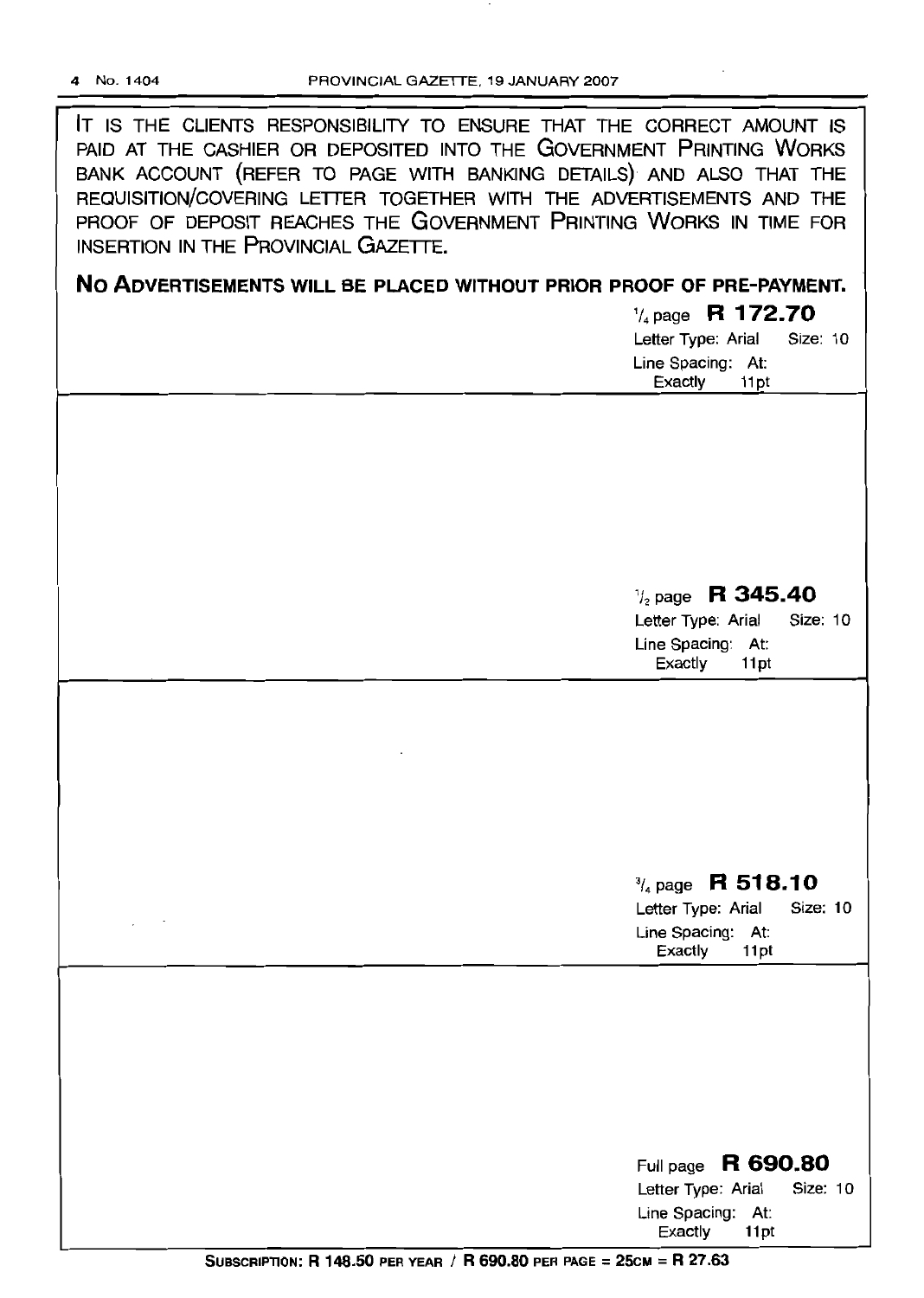**IT** IS THE CLIENTS RESPONSIBILITY TO ENSURE THAT THE CORRECT AMOUNT IS PAID AT THE CASHIER OR DEPOSITED INTO THE GOVERNMENT PRINTING WORKS BANK ACCOUNT (REFER TO PAGE WITH BANKING DETAILS) AND ALSO THAT THE REQUISITION/COVERING LETTER TOGETHER WITH THE ADVERTISEMENTS AND THE PROOF OF DEPOSIT REACHES THE GOVERNMENT PRINTING WORKS IN TIME FOR INSERTION IN THE PROVINCIAL GAZETTE.

**No ADVERTISEMENTS WILL BE PLACED WITHOUT PRIOR PROOF OF PRE-PAYMENT.**

*'/4* page **R 172.70** Letter Type: Arial Size: 10

| Letter type. And  |       | UILC. IV |  |
|-------------------|-------|----------|--|
| Line Spacing: At: |       |          |  |
| Exactly           | 11 pt |          |  |

*1/2* page **R 345.40**

Letter Type: Arial Size: 10 Line Spacing: At: Exactly 11pt

# 3/4page **R 518.10**

Letter Type: Arial Size: 10 Line Spacing: At: Exactly 11pt

| Full page $R$ 690.80        |          |  |  |  |  |
|-----------------------------|----------|--|--|--|--|
| Letter Type: Arial          | Size: 10 |  |  |  |  |
| Line Spacing: At:           |          |  |  |  |  |
| Exactly<br>11 <sub>pt</sub> |          |  |  |  |  |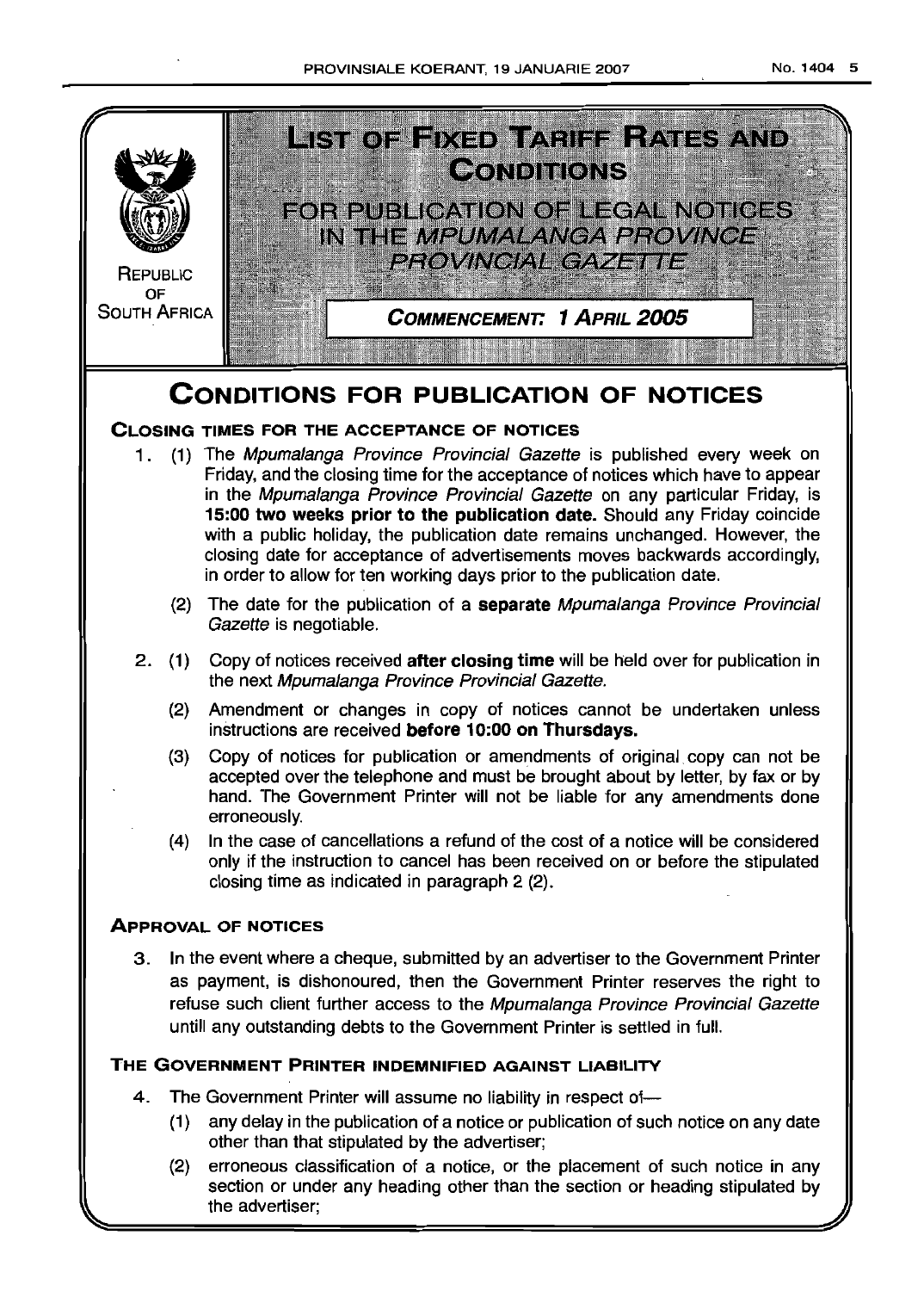

- other than that stipulated by the advertiser; (2) erroneous classification of a notice, or the placement of such notice in any
- section or under any heading other than the section or heading stipulated by the advertiser;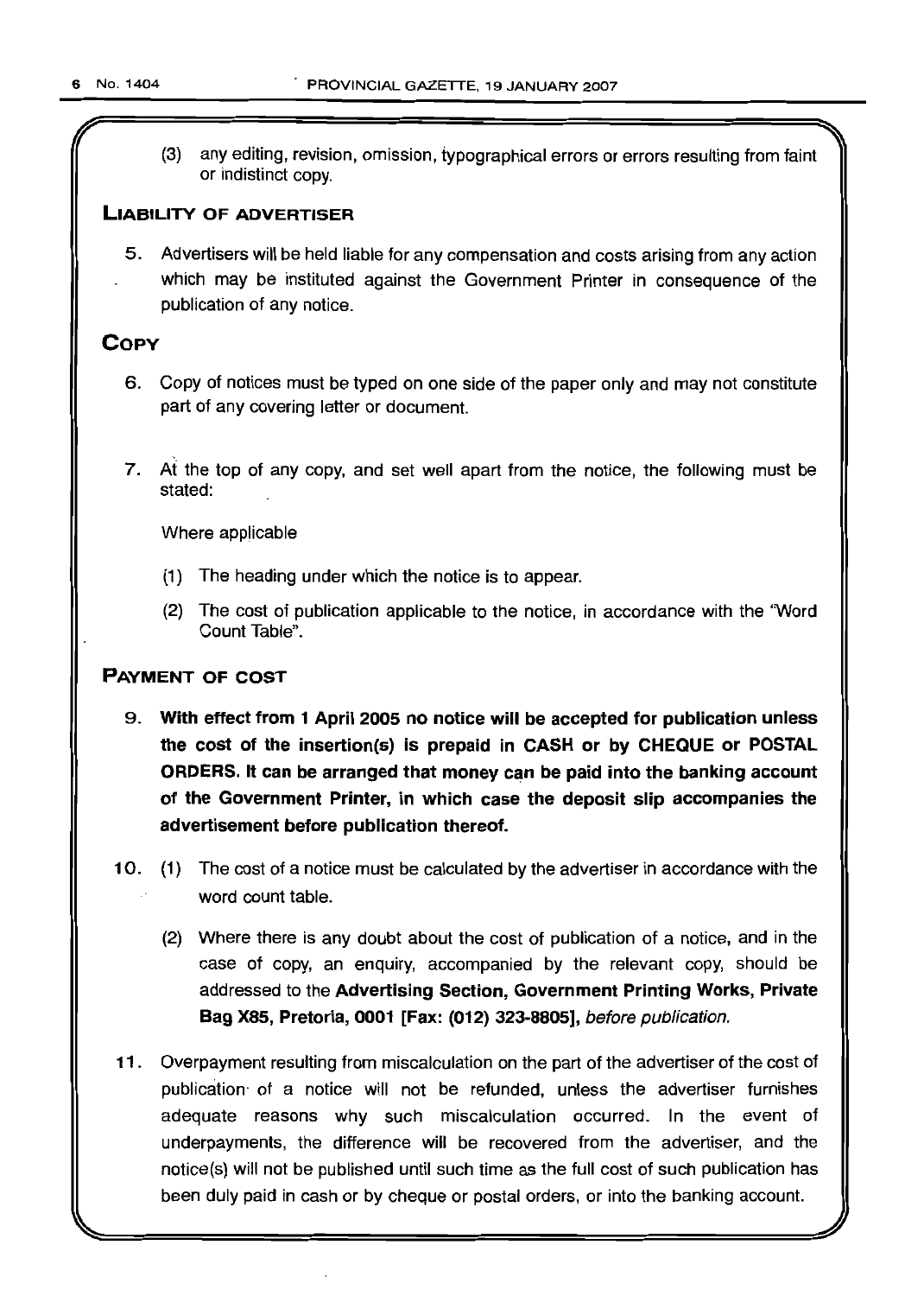(3) any editing, revision, omission, typographical errors or errors resulting from faint or indistinct copy.

# **LIABILITY OF ADVERTISER**

5. Advertisers will be held liable for any compensation and costs arising from any action which may be instituted against the Government Printer in consequence of the publication of any notice.

# **COpy**

- 6. Copy of notices must be typed on one side of the paper only and may not constitute part of any covering letter or document.
- 7. At the top of any copy, and set well apart from the notice, the following must be stated:

Where applicable

- (1) The heading under which the notice is to appear.
- (2) The cost of publication applicable to the notice, in accordance with the 'Word Count Table".

# **PAYMENT OF COST**

- 9. **With effect from 1 April 2005 no notice will be accepted for publication unless the cost of the insertion(s) is prepaid in CASH or by CHEQUE or POSTAL ORDERS. It can be arranged that money can be paid into the banking account of the Government Printer, in which case the deposit slip accompanies the advertisement before publication thereof.**
- 10. (1) The cost of a notice must be calculated by the advertiser in accordance with the word count table.
	- (2) Where there is any doubt about the cost of publication of a notice, and in the case of copy, an enquiry, accompanied by the relevant copy, should be addressed to the **Advertising Section, Government Printing Works, Private Bag X85, Pretoria, 0001 [Fax: (012) 323-8805],** before publication.
- **11** . Overpayment resulting from miscalculation on the part of the advertiser of the cost of publication- of a notice will not be refunded, unless the advertiser furnishes adequate reasons why such miscalculation occurred. In the event of underpayments, the difference will be recovered from the advertiser, and the notice(s) will not be published until such time as the full cost of such publication has been duty paid in cash or by cheque or postal orders, or into the banking account.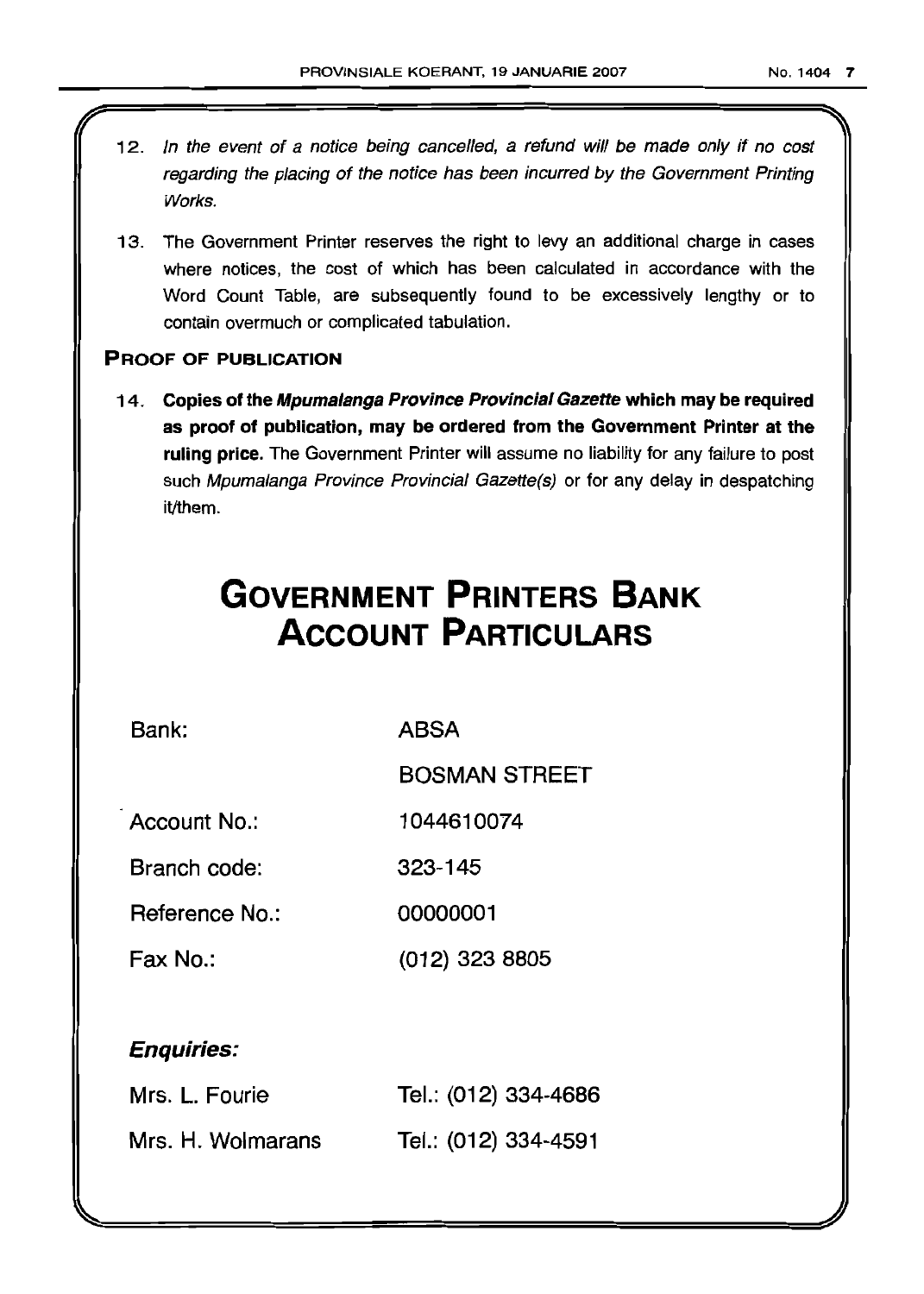- 12. In the event of a notice being cancelled, a refund will be made only if no cost regarding the placing of the notice has been incurred by the Government Printing Works.
- 13. The Government Printer reserves the right to levy an additional charge in cases where notices, the cost of which has been calculated in accordance with the Word Count Table, are SUbsequently found to be excessively lengthy or to contain overmuch or complicated tabulation.

# PROOF OF PUBLICATION

14. Copies of the Mpumalanga Province Provincial Gazette which may be required as proof of publication, may be ordered from the Government Printer at the ruling price. The Government Printer will assume no liability for any failure to post such Mpumalanga Province Provincial Gazette(s) or for any delay in despatching it/them.

# **GOVERNMENT PRINTERS BANK ACCOUNT PARTICULARS**

Bank: ABSA

BOSMAN STREET

Account No.: 1044610074

Branch code: 323-145

Reference No.: 00000001

Fax No.: (012) 323 8805

# Enquiries:

| Mrs. L. Fourie    | Tel.: (012) 334-4686 |
|-------------------|----------------------|
| Mrs. H. Wolmarans | Tel.: (012) 334-4591 |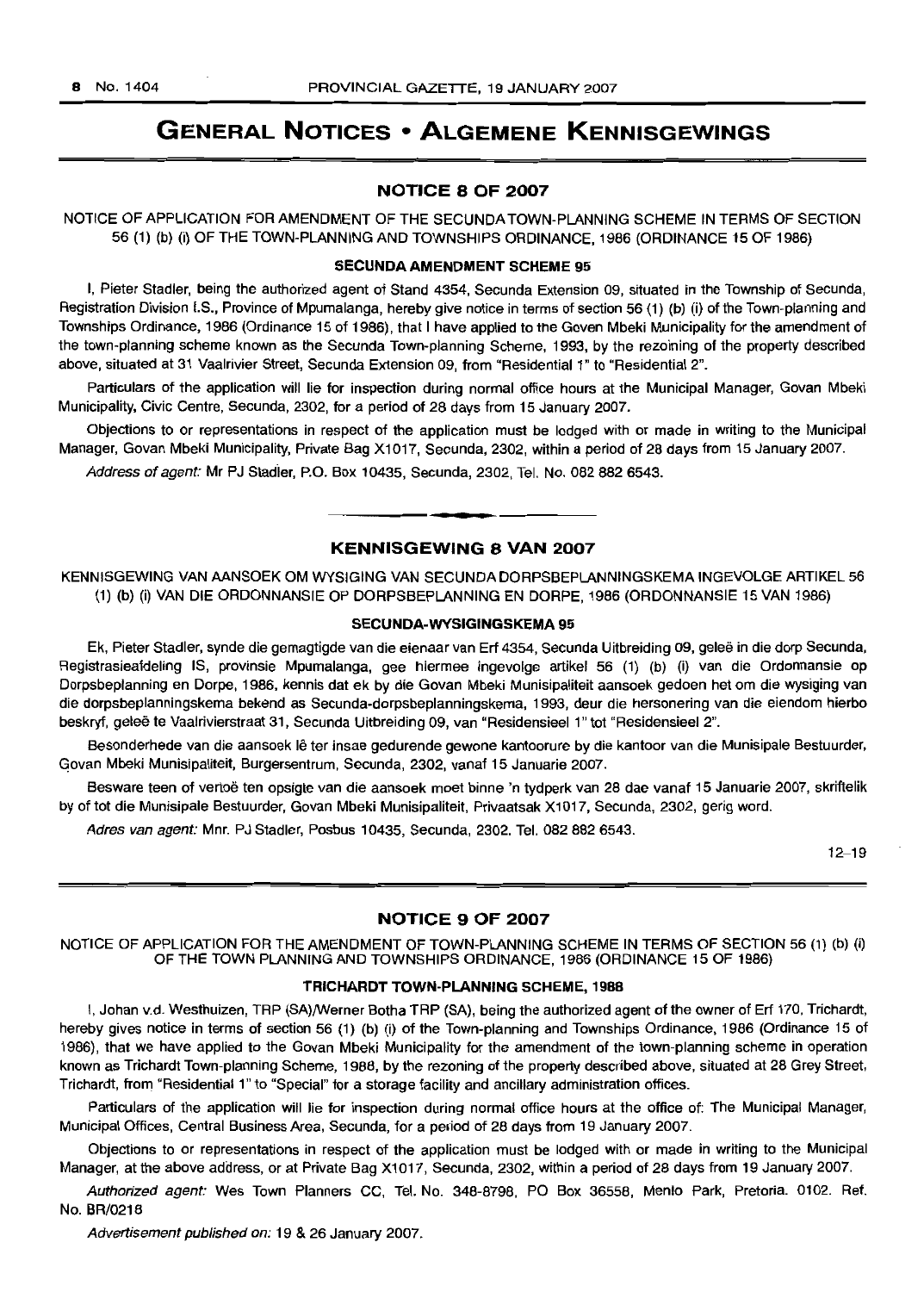# **GENERAL NOTICES • ALGEMENE KENNISGEWINGS**

### NOTICE 8 OF 2007

NOTICE OF APPLICATION FOR AMENDMENT OF THE SECUNDA TOWN·PLANNING SCHEME IN TERMS OF SECTION 56 (1) (b) (i) OF THE TOWN-PLANNING AND TOWNSHIPS ORDINANCE, 1986 (ORDINANCE 15 OF 1986)

#### SECUNDA AMENDMENT SCHEME 95

I, Pieter Stadler, being the authorized agent of Stand 4354, Secunda Extension 09, situated in the Township of Secunda, Registration Division I.S., Province of Mpumalanga, hereby give notice in terms of section 56 (1) (b) (i) of the Town-planning and Townships Ordinance, 1986 (Ordinance 15 of 1986), that I have applied to the Goven Mbeki Municipality for the amendment of the town-planning scheme known as the Secunda Town-planning Scheme, 1993, by the rezoining of the property described above, situated at 31 Vaalrivier Street, Secunda Extension 09, from "Residential 1" to "Residential 2".

Particulars of the application will lie for inspection during normal office hours at the Municipal Manager, Govan Mbeki Municipality, Civic Centre, Secunda, 2302, for a period of 28 days from 15 January 2007.

Objections to or representations in respect of the application must be lodged with or made in writing to the Municipal Manager, Govan Mbeki Municipality, Private Bag X1017, Secunda, 2302, within a period of 28 days from 15 January 2007.

Address of agent: Mr PJ Stadler, P.O. Box 10435, Secunda, 2302, Tel. No. 082 882 6543.

# KENNISGEWING 8 VAN 2007

**-**

KENNISGEWING VAN AANSOEK OM WYSIGING VAN SECUNDA DORPSBEPLANNINGSKEMA INGEVOLGE ARTIKEL 56 (1) (b) (i) VAN DIE ORDONNANSIE OP DORPSBEPLANNING EN DORPE, 1986 (ORDONNANSIE 15 VAN 1986)

#### SECUNDA-WYSIGINGSKEMA 95

Ek, Pieter Stadler, synde die gemagtigde van die eienaar van Erf 4354, Secunda Uitbreiding 09, gelee in die dorp Secunda, Registrasieafdeling IS, provinsie Mpumalanga, gee hiermee ingevolge artikel 56 (1) (b) (i) van die Ordonnansie op Dorpsbeplanning en Dorpe, 1986. kennis dat ek by die Govan Mbeki Munisipaliteit aansoek gedoen het om die wysiging van die dorpsbeplanningskema bekend as Secunda-dorpsbeplanningskema, 1993, deur die hersonering van die eiendom hierbo beskryf, geleë te Vaalrivierstraat 31, Secunda Uitbreiding 09, van "Residensieel 1" tot "Residensieel 2".

Besonderhede van die aansoek lê ter insae gedurende gewone kantoorure by die kantoor van die Munisipale Bestuurder, Govan Mbeki Munisipaliteit, Burgersentrum, Secunda, 2302, vanaf 15 Januarie 2007.

Besware teen of vertoe ten opsigte van die aansoek moet binne 'n tydperk van 28 dae vanaf 15 Januarie 2007, skriftelik by of tot die Munisipale Bestuurder, Govan Mbeki Munisipaliteit, Privaatsak X1017, Secunda, 2302, gerig word.

Adres van agent: Mnr. PJ Stadler, Posbus 10435, Secunda, 2302. Tel. 082 882 6543.

12-19

### NOTICE 9 OF 2007

NOTICE OF APPLICATION FOR THE AMENDMENT OF TOWN-PLANNING SCHEME IN TERMS OF SECTION 56 (1) (b) (i) OF THE TOWN PLANNING AND TOWNSHIPS ORDINANCE, 1986 (ORDINANCE 15 OF 1986)

#### TRICHARDT TOWN-PLANNING SCHEME, 1988

I, Johan v.d. Westhuizen, TRP (SA)/Werner Botha TRP (SA), being the authorized agent ofthe owner of Erf 170. Trichardt, hereby gives notice in terms of section 56 (1) (b) (i) of the Town-planning and Townships Ordinance, 1986 (Ordinance 15 of 1986), that we have applied to the Govan Mbeki Municipality for the amendment of the town-planning scheme in operation known as Trichardt Town-planning Scheme, 1988, by the rezoning of the property described above, situated at 28 Grey Street, Trichardt, from "Residential 1" to "Special" for a storage facility and ancillary administration offices.

Particulars of the application will lie for inspection during normal office hours at the office of: The Municipal Manager, Municipal Offices, Central Business Area, Secunda. for a period of 28 days from 19 January 2007.

Objections to or representations in respect of the application must be lodged with or made in writing to the Municipal Manager, at the above address, or at Private Bag Xl 017, Secunda, 2302, within a period of 28 days from 19 January 2007.

Authorized agent: Wes Town Planners CC, Tel. No. 348-8798, PO Box 36558, Menlo Park, Pretoria. 0102. Ref. No. BR/0218

Advertisement published on: 19 & 26 January 2007.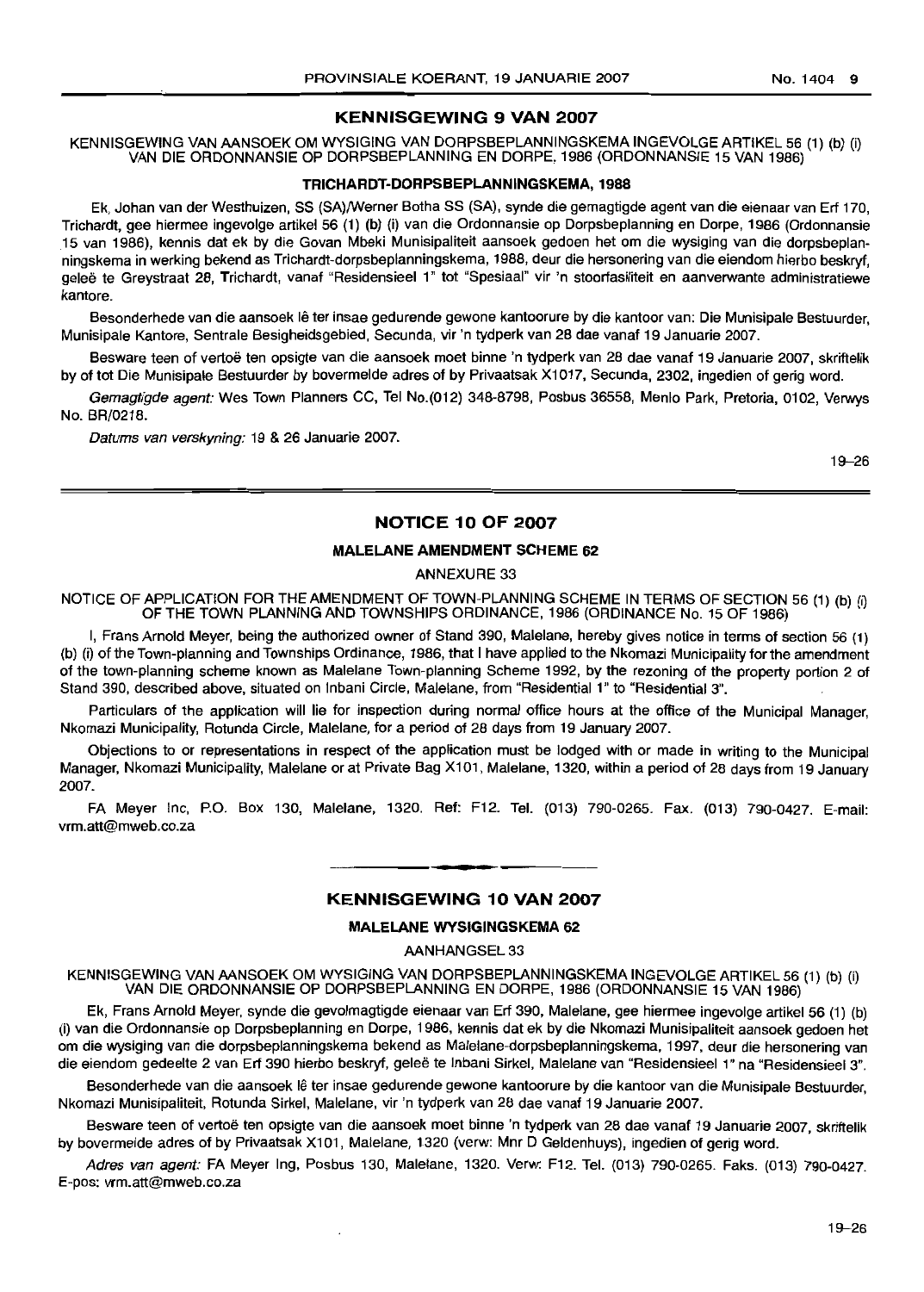# KENNISGEWING 9 VAN 2007

KENNISGEWING VAN AANSOEK OM WYSIGING VAN DORPSBEPLANNINGSKEMA INGEVOLGE ARTIKEL 56 (1) (b) (i) VAN DIE ORDONNANSIE OP DORPSBEPLANNING EN DORPE, 1986 (ORDONNANSIE 15 VAN 1986)

### TRICHARDT-DORPSBEPLANNINGSKEMA, 1988

Ek, Johan van der Westhuizen, SS (SA)/Werner Botha SS (SA), synde die gemagtigde agent van die eienaar van Erf 170, Trichardt, gee hiermee ingevolge artikel 56 (1) (b) (i) van die Ordonnansie op Dorpsbeplanning en Dorpe, 1986 (Ordonnansie 15 van 1986), kennis dat ek by die Govan Mbeki Munisipaliteit aansoek gedoen het om die wysiging van die dorpsbeplanningskerna in werking bekend as Trichardt-dorpsbeplanningskema, 1988, deur die hersonering van die eiendom hierbo beskryf, gelee te Greystraat 28, Trichardt, vanaf "Residensieel 1" tot "Spesiaal" vir 'n stoorfasiliteit en aanverwante administra1iewe kantore.

Besonderhede van die aansoek lê ter insae gedurende gewone kantoorure by die kantoor van: Die Munisipale Bestuurder, Munisipale Kantore, Sentrale Besigheidsgebied, Secunda, vir 'n tydperk van 28 dae vanaf 19 Januarie 2007.

Besware teen of vertoë ten opsigte van die aansoek moet binne 'n tydperk van 28 dae vanaf 19 Januarie 2007, skriftelik by of tot Die Munisipale Bestuurder by bovermelde adres of by Privaatsak X1017, Secunda, 2302, ingedien of gerig word.

Gemagtigde agent: Wes Town Planners CC, Tel No.(012) 348-8798, Posbus 36558, Menlo Park, Pretoria, 0102, Verwys No. BR/0218.

Datums van verskyning: 19 & 26 Januarie 2007.

19-26

# NOTICE 10 OF 2007

# MALELANE AMENDMENT SCHEME 62

ANNEXURE 33

NOTICE OF APPLICATION FOR THE AMENDMENT OF TOWN-PLANNING SCHEME IN TERMS OF SECTION 56 (1) (b) (i) OF THE TOWN PLANNING AND TOWNSHIPS ORDINANCE, 1986 (ORDINANCE No. 15 OF 1986)

I, Frans Arnold Meyer, being the authorized owner of Stand 390, Malelane, hereby gives notice in terms of section 56 (1) (b) (i) of the Town-planning and Townships Ordinance, 1986, that I have applied to the Nkomazi Municipality for the amendment of the town-planning scheme known as Malelane Town-planning Scheme 1992, by the rezoning of the property portion 2 of Stand 390, described above, situated on Inbani Circle, Malelane, from "Residential 1" to "Residential 3".

Particulars of the application will lie for inspection during normal office hours at the office of the Municipal Manager, Nkomazi Municipality, Rotunda Circle, Malelane, for a period of 28 days from 19 January 2007.

Objections to or representations in respect of the application must be lodged with or made in writing to the Municipal Manager, Nkomazi Municipality, Malelane or at Private Bag X101, Malelane, 1320, within a period of 28 days from 19 January 2007.

FA Meyer Inc, P.O. Box 130, Malelane, 1320. Ref: F12. Tel. (013) 790-0265. Fax. (013) 790-0427. E-mail: vrm.att@mweb.co.za

# **•** KENNISGEWING 10 VAN 2007

### MALELANE WYSIGINGSKEMA 62

AANHANGSEL 33

KENNISGEWING VAN AANSOEK OM WYSIGING VAN DORPSBEPLANNINGSKEMA INGEVOLGE ARTIKEL 56 (1) (b) (i) VAN DIE ORDONNANSIE OP DORPSBEPLANNING EN DORPE, 1986 (ORDONNANSIE 15 VAN 1986)

Ek, Frans Arnold Meyer, synde die gevolmagtigde eienaar van Erf 390, Malelane, gee hiermee ingevolge artikel 56 (1) (b) (i) van die Ordonnansie op Dorpsbeplanning en Darpe, 1986, kennis dat ek by die Nkomazi Munisipaliteit aansoek gedoen het om die wysiging van die dorpsbeplanningskema bekend as Malelane-dorpsbeplanningskema, 1997, deur die hersonering van die eiendom gedeelte 2 van Erf 390 hierbo beskryf, geleë te Inbani Sirkel, Malelane van "Residensieel 1" na "Residensieel 3".

Besonderhede van die aansoek lê ter insae gedurende gewone kantoorure by die kantoor van die Munisipale Bestuurder, Nkomazi Munisipaliteit, Rotunda Sirkel, Malelane, vir 'n tydperk van 28 dae vanaf 19 Januarie 2007.

Besware teen of vertoë ten opsigte van die aansoek moet binne 'n tydperk van 28 dae vanaf 19 Januarie 2007, skriftelik by bovermelde adres of by Privaatsak X101, Malelane, 1320 (verw: Mnr 0 Geldenhuys), ingedien of gerig word.

Adres van agent: FA Meyer Ing, Posbus 130, Malelane, 1320. Verw: F12. Tel. (013) 790-0265. Faks. (013) 790-0427. E-pos: vrm.att@mweb.co.za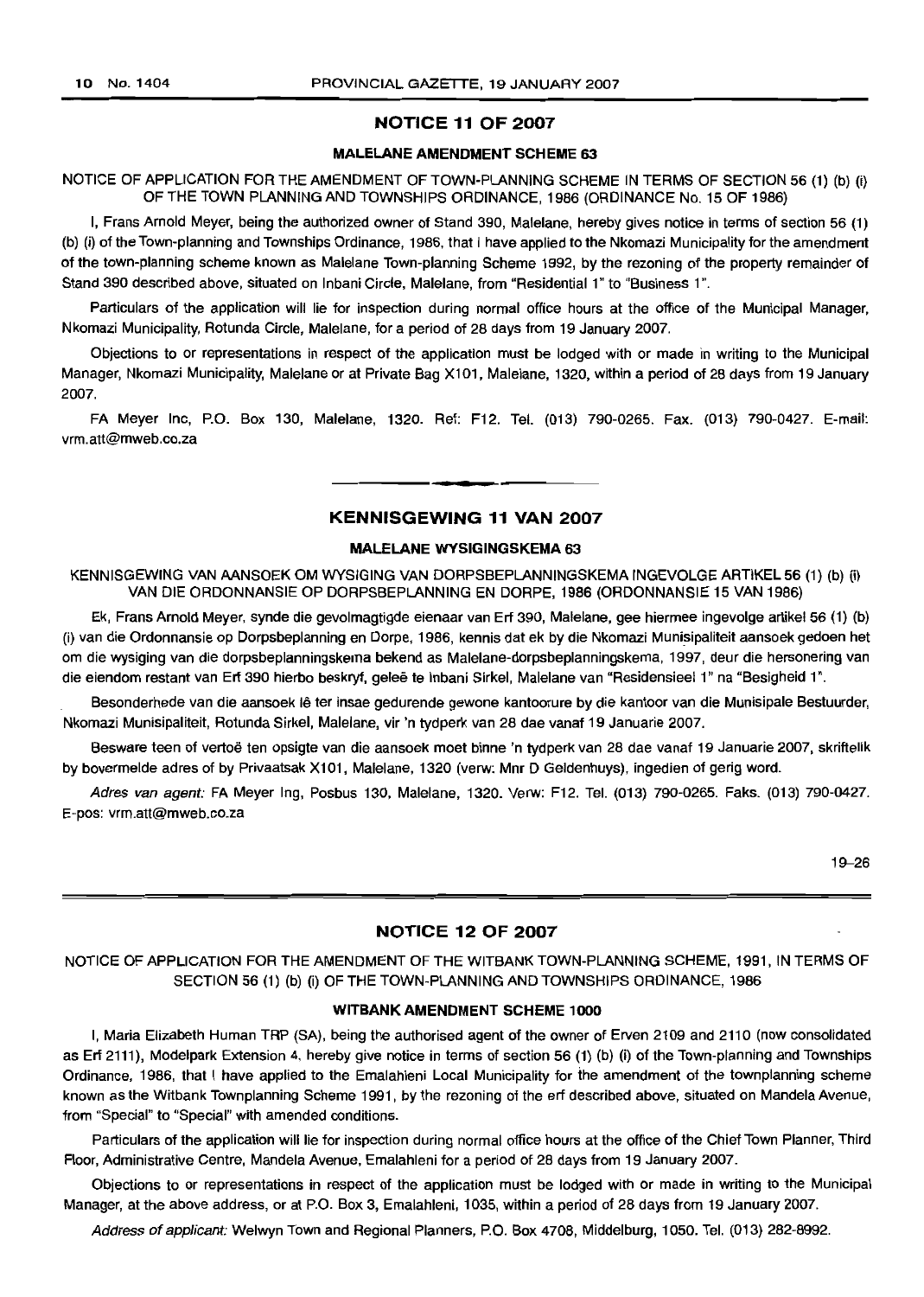### **NOTICE 11 OF 2007**

#### **MALELANE AMENDMENT SCHEME** 63

NOTICE OF APPLICATION FOR THE AMENDMENT OF TOWN·PLANNING SCHEME IN TERMS OF SECTION 56 (1) (b) (i) OF THE TOWN PLANNING AND TOWNSHIPS ORDINANCE, 1986 (ORDINANCE No. 15 OF 1986)

I, Frans Arnold Meyer, being the authorized owner of Stand 390, Malelane, hereby gives notice in terms of section 56 (1) (b) (i) of the Town-planning and Townships Ordinance, 1986, that I have applied to the Nkomazi Municipality for the amendment of the town-planning scheme known as Malelane Town-planning Scheme 1992, by the rezoning of the property remainder of Stand 390 described above, situated on Inbani Circle, Malelane, from "Residential 1" to "Business 1".

Particulars of the application will lie for inspection during normal office hours at the office of the Municipal Manager, Nkomazi Municipality, Rotunda Circle, Malelane, for a period of 28 days from 19 January 2007.

Objections to or representations in respect of the application must be lodged with or made in writing to the Municipal Manager, Nkomazi Municipality, Malelane or at Private Bag Xl01, Malelane, 1320, within a period of 28 days from 19 January 2007.

FA Meyer Inc, P.O. Box 130, Malelane, 1320. Ref: F12. Tel. (013) 790-0265. Fax. (013) 790-0427. E-mail: vrm.att@mweb.co.za

# **KENNISGEWING 11 VAN 2007**

**-**

#### MALELANE **WYSIGINGSKEMA** 63

KENNISGEWING VAN AANSOEK OM WYSIGING VAN DORPSBEPLANNINGSKEMA INGEVOLGE ARTIKEL 56 (1) (b) (i) VAN DIE ORDONNANSIE OP DORPSBEPLANNING EN DORPE, 1986 (ORDONNANSIE 15 VAN 1986)

Ek, Frans Arnold Meyer, synde die gevolmagtigde eienaar van Erf 390, Malelane, gee hiermee ingevolge artikel 56 (1) (b) (i) van die Ordonnansie op Dorpsbeplanning en Dorpe, 1986, kennis dat ek by die Nkomazi Munisipaliteit aansoek gedoen het om die wysiging van die dorpsbeplanningskema bekend as Malelane-dorpsbeplanningskema, 1997, deur die hersonering van die eiendom restant van Erf 390 hierbo beskryf, geleë te Inbani Sirkel, Malelane van "Residensieel 1" na "Besigheid 1".

Besonderhede van die aansoek Ie ter insae gedurende gewone kantoorure by die kantoor van die Munisipale Bestuurder, Nkomazi Munisipaliteit, Rotunda Sirkel, Malelane, vir 'n tydperk van 28 dae vanaf 19 Januarie 2007.

Besware teen of vertoe ten opsigte van die aansoek moet binne 'n tydperk van 28 dae vanaf 19 Januarie 2007, skriftelik by bovermelde adres of by Privaatsak Xl 01, Malelane, 1320 (verw: Mnr D Geldenhuys), ingedien of gerig word.

Adres van agent: FA Meyer lng, Posbus 130, Malelane, 1320. Verw: F12. Tel. (013) 790-0265. Faks. (013) 790-0427. E-pos: vrm.att@mweb.co.za

19-26

#### **NOTICE 12 OF 2007**

NOTICE OF APPLICATION FOR THE AMENDMENT OF THE WITBANK TOWN-PLANNING SCHEME, 1991, IN TERMS OF SECTION 56 (1) (b) (i) OF THE TOWN-PLANNING AND TOWNSHIPS ORDINANCE, 1986

# **WITBANK AMENDMENT SCHEME** 1000

I, Maria Elizabeth Human TRP (SA), being the authorised agent of the owner of Erven 2109 and 2110 (now consolidated as Erf 2111), Modelpark Extension 4, hereby give notice in terms of section 56 (1) (b) (i) of the Town-planning and Townships Ordinance, 1986, that I have applied to the Emalahleni Local Municipality for the amendment of the townplanning scheme known as the Witbank Townplanning Scheme 1991, by the rezoning of the erf described above, situated on Mandela Avenue, from "Special" to "Special" with amended conditions.

Particulars of the application will lie for inspection during normal office hours at the office of the Chief Town Planner, Third Floor, Administrative Centre, Mandela Avenue, Emalahleni for a period of 28 days from 19 January 2007.

Objections to or representations in respect of the application must be lodged with or made in writing to the Municipal Manager, at the above address, or at P.O. Box 3, Emalahleni, 1035, within a period of 28 days from 19 January 2007.

Address of applicant: Welwyn Town and Regional Planners, P.O. Box 4708, Middelburg, 1050. Tel. (013) 282-8992.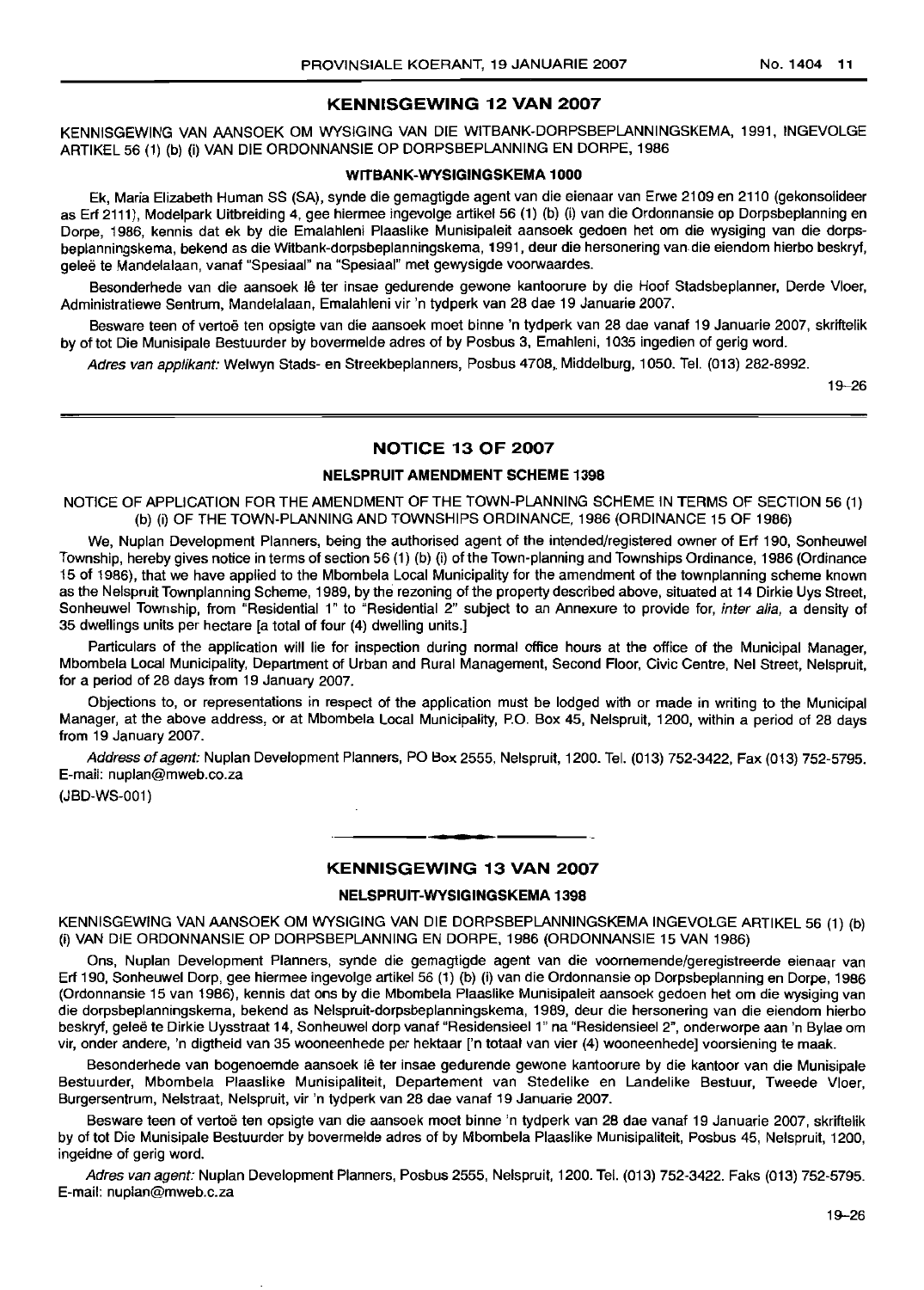#### **KENNISGEWING 12 VAN 2007**

KENNISGEWING VAN AANSOEK OM WYSIGING VAN DIE WITBANK-DORPSBEPLANNINGSKEMA, 1991, INGEVOLGE ARTIKEL56 (1) (b) (i) VAN DIE ORDONNANSIE OP DORPSBEPLANNING EN DORPE, 1986

#### **WITBANK-WYSIGINGSKEMA** 1000

Ek, Maria Elizabeth Human SS (SA), synde die gemagtigde agent van die eienaar van Erwe 2109 en 2110 (gekonsolideer as Erf 2111), Modelpark Uitbreiding 4, gee hiermee ingevolge artikel 56 (1) (b) (i) van die Ordonnansie op Dorpsbeplanning en Dorpe, 1986, kennis dat ek by die Emalahleni Plaaslike Munisipaleit aansoek gedoen het om die wysiging van die dorpsbeplanningskema, bekend as die Witbank-dorpsbeplanningskema, 1991, deur die hersonering van die eiendom hierbo beskryf, gelee te Mandelalaan, vanaf "Spesiaal" na "Spesiaal" met gewysigde voorwaardes.

Besonderhede van die aansoek lê ter insae gedurende gewone kantoorure by die Hoof Stadsbeplanner, Derde Vloer, Administratiewe Sentrum, Mandelalaan, Emalahleni vir 'n tydperk van 28 dae 19 Januarie 2007.

Besware teen of vertoë ten opsigte van die aansoek moet binne 'n tydperk van 28 dae vanaf 19 Januarie 2007. skriftelik by of tot Die Munisipale Bestuurder by bovermelde adres of by Posbus 3, Emahleni, 1035 ingedien of gerig word.

Adres van applikant: Welwyn Stads- en Streekbeplanners, Posbus 4708, Middelburg, 1050. Tel. (013) 282-8992.

19--26

#### **NOTICE 13 OF 2007**

# **NELSPRUIT AMENDMENT SCHEME** 1398

NOTICE OF APPLICATION FOR THE AMENDMENT OF THE TOWN-PLANNING SCHEME IN TERMS OF SECTION 56 (1) (b) (i) OF THE TOWN-PLANNING AND TOWNSHIPS ORDINANCE, 1986 (ORDINANCE 15 OF 1986)

We, Nuplan Development Planners, being the authorised agent of the intended/registered owner of Erf 190, Sonheuwel Township, hereby gives notice in terms of section 56 (1) (b) (i) of the Town-planning and Townships Ordinance, 1986 (Ordinance 15 of 1986), that we have applied to the Mbombela Local Municipality for the amendment of the townplanning scheme known as the Nelspruit Townplanning Scheme, 1989, by the rezoning of the property described above, situated at 14 Dirkie Uys Street, Sonheuwel Township, from "Residential 1" to "Residential 2" subject to an Annexure to provide for, inter alia, a density of 35 dwellings units per hectare [a total of four (4) dwelling units.]

Particulars of the application will lie for inspection during normal office hours at the office of the Municipal Manager, Mbombela Local Municipality, Department of Urban and Rural Management, Second Floor, Civic Centre, Nel Street, Nelspruit, for a period of 28 days from 19 January 2007.

Objections to, or representations in respect of the application must be lodged with or made in writing to the Municipal Manager, at the above address, or at Mbombela Local Municipality, PO. Box 45, Nelspruit, 1200, within a period of 28 days from 19 January 2007.

Address of agent: Nuplan Development Planners, PO Box 2555, Nelspruit, 1200. Tel. (013) 752-3422, Fax (013) 752-5795. E-mail: nuplan@mweb.co.za

(JBD-WS-001)

# **• KENNISGEWING 13 VAN 2007**

#### **NELSPRUIT-WYSIGINGSKEMA** 1398

KENNISGEWING VAN AANSOEK OM WYSIGING VAN DIE DORPSBEPLANNINGSKEMA INGEVOLGE ARTIKEL 56 (1) (b) (I) VAN DIE ORDONNANSIE OP DORPSBEPLANNING EN DORPE, 1986 (ORDONNANSIE 15 VAN 1986)

Ons, Nuplan Development Planners, synde die gemagtigde agent van die voornemende/geregistreerde eienaar van Erf 190, Sonheuwel Dorp, gee hiermee ingevolge artikel 56 (1) (b) (I) van die Ordonnansle op Dorpsbeplanning en Dorpe, 1986 (Ordonnansie 15 van 1986), kennis dat ons by die Mbombela Plaaslike Munlsipaleit aansoek gedoen het om die wysiging van die dorpsbeplanningskema, bekend as Nelspruit-dorpsbeplanningskema, 1989, deur die hersonering van die eiendom hierbo beskryf, gelee te Dirkie Uysstraat 14, Sonheuwel dorp vanaf "Residensieel 1" na "Resldensieel 2", onderworpe aan 'n Bylae om vir, onder andere, 'n digtheid van 35 wooneenhede per hektaar ['n totaal van vier (4) wooneenhede] voorsiening te maak.

Besonderhede van bogenoemde aansoek lê ter insae gedurende gewone kantoorure by die kantoor van die Munisipale Bestuurder, Mbombela Plaaslike Munisipaliteit, Departement van Stedelike en Landelike Bestuur, Tweede Vloer, Burgersentrum, Nelstraat, Nelspruit, vir 'n tydperk van 28 dae vanaf 19 Januarie 2007.

Besware teen of vertoë ten opsigte van die aansoek moet binne 'n tydperk van 28 dae vanaf 19 Januarie 2007, skriftelik by of tot Die Munisipale Bestuurder by bovermelde adres of by Mbombela Plaaslike Munisipaliteit, Posbus 45, Nelspruit, 1200, ingeidne of gerig word.

Adres van agent: Nuplan Development Planners, Posbus 2555, Nelspruit, 1200. Tel. (013) 752-3422. Faks (013) 752-5795. E-mail: nuplan@mweb.c.za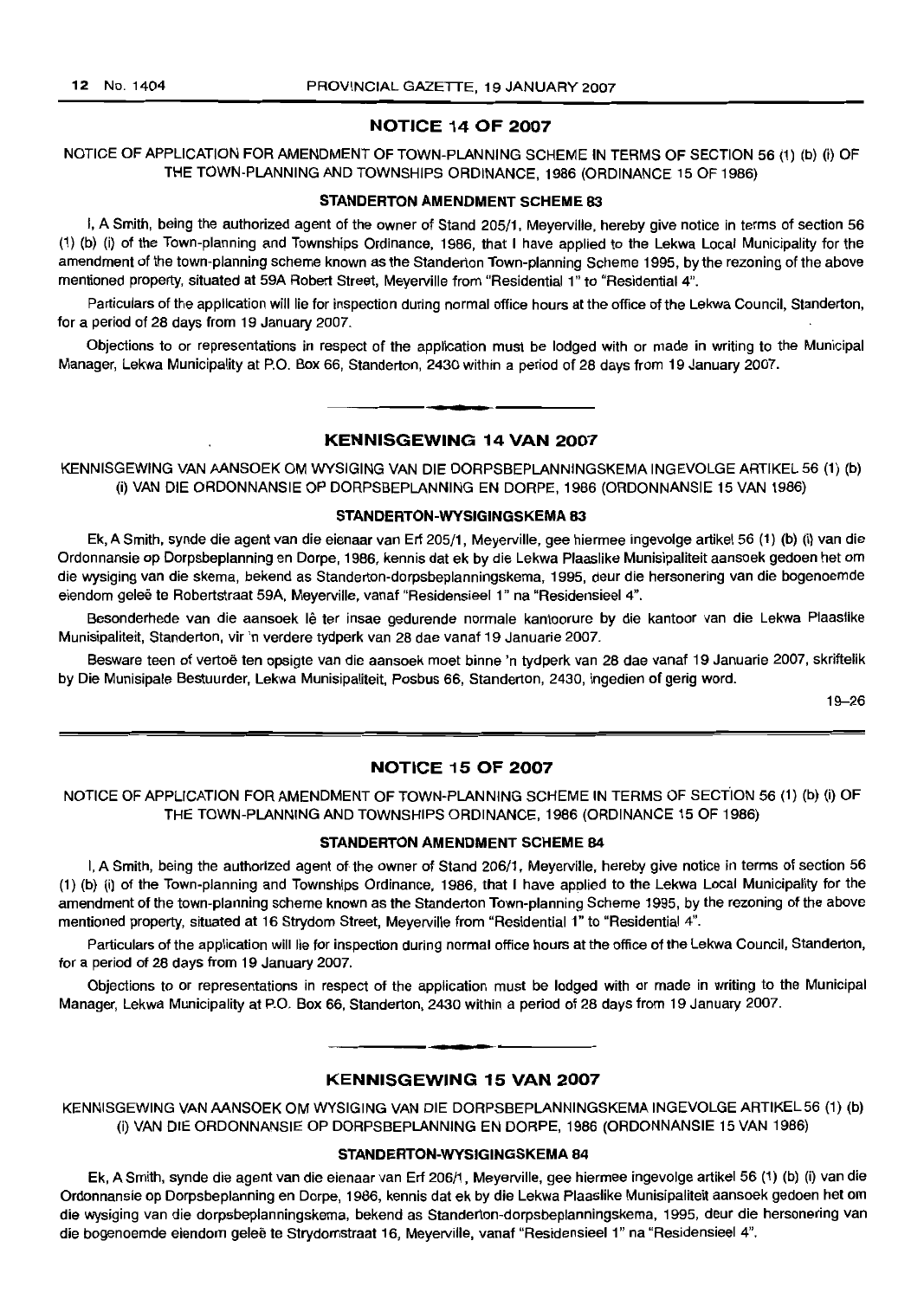#### NOTICE 14 OF 2007

# NOTICE OF APPLICATION FOR AMENDMENT OF TOWN-PLANNING SCHEME IN TERMS OF SECTION 56 (1) (b) (i) OF THE TOWN-PLANNING AND TOWNSHIPS ORDINANCE, 1986 (ORDINANCE 15 OF 1986)

#### STANDERTON AMENDMENT SCHEME 83

I, A Smith, being the authorized agent of the owner of Stand 205/1, Meyerville, hereby give notice in terms of section 56 (1) (b) (i) of the Town-planning and Townships Ordinance, 1986, that I have applied to the Lekwa Local Municipality for the amendment of the town-planning scheme known as the Standerton Town-planning Scheme 1995, by the rezoning of the above mentioned property, situated at 59A Robert Street, Meyerville from "Residential 1" to "Residential 4".

Particulars of the application will lie for inspection during normal office hours at the office of the Lekwa Council, Standerton, for a period of 28 days from 19 January 2007.

Objections to or representations in respect of the application must be lodged with or made in writing to the Municipal Manager, Lekwa Municipality at P.O. Box 66, Standerton, 2430 within a period of 28 days from 19 January 2007.

### KENNISGEWING 14 VAN 2007

**•**

KENNISGEWING VAN AANSOEK OM WYSIGING VAN DIE DORPSBEPLANNINGSKEMA INGEVOLGE ARTIKEL 56 (1) (b) (i) VAN DIE ORDONNANSIE OP DORPSBEPLANNING EN DORPE, 1986 (ORDONNANSIE 15 VAN 1966)

#### STANDERTON-WYSIGINGSKEMA 83

Ek, A Smith, synde die agent van die eienaar van Erf 205/1, Meyerville, gee hiermee ingevolge artikel 56 (1) (b) (i) van die Ordonnansie op Dorpsbeplanning en Dorpe, 1966, kennis dat ek by die Lekwa Plaaslike Munisipaliteit aansoek gedoen het om die wysiging van die skema, bekend as Standerton-dorpsbeplanningskema, 1995, deur die hersonering van die bogenoemde eiendom geleë te Robertstraat 59A, Meyerville, vanaf "Residensieel 1" na "Residensieel 4".

Besonderhede van die aansoek lê ter insae gedurende normale kantoorure by die kantoor van die Lekwa Plaaslike Munisipaliteit, Standerton, vir 'n verdere tydperk van 28 dae vanaf 19 Januarie 2007.

Besware teen of vertoë ten opsigte van die aansoek moet binne 'n tydperk van 28 dae vanaf 19 Januarie 2007, skriftelik by Die Munlsipale Bestuurder, Lekwa Munisipaliteit, Posbus 66, Standerton, 2430, ingedien of gerig word.

19-26

### NOTICE 15 OF 2007

# NOTICE OF APPLICATION FOR AMENDMENT OF TOWN-PLANNING SCHEME IN TERMS OF SECTION 56 (1) (b) (i) OF THE TOWN-PLANNING AND TOWNSHIPS ORDINANCE, 1986 (ORDINANCE 15 OF 1986)

### STANDERTON AMENDMENT SCHEME B4

I, A Smith, being the authorized agent of the owner of Stand 206/1, Meyerville, hereby give notice in terms of section 56 (1) (b) (i) of the Town-planning and Townships Ordinance, 1986, that I have applied to the Lekwa Local Municipality for the amendment of the town-planning scheme known as the Standerton Town-planning Scheme 1995, by the rezoning of the above mentioned property, situated at 16 Strydom Street, Meyerville from "Residential 1" to "Residential 4".

Particulars of the application will lie for inspection during normal office hours at the office of the Lekwa Council, Standerton, for a period of 28 days from 19 January 2007.

Objections to or representations in respect of the application must be lodged with or made in writing to the Municipal Manager, Lekwa Municipality at P.O. Box 66, Standerton, 2430 within a period of 28 days from 19 January 2007.

# **•** KENNISGEWING 15 VAN 2007

KENNISGEWING VAN AANSOEK OM WYSIGING VAN DIE DORPSBEPLANNINGSKEMA INGEVOLGE ARTIKEL 56 (1) (b) (I) VAN DIE ORDONNANSIE OP DORPSBEPLANNING EN DORPE, 1986 (ORDONNANSIE 15 VAN 1986)

#### STANDERTON-WYSIGINGSKEMA 84

Ek, A Smith, synde die agent van die eienaar van Erf 206/1, Meyerville, gee hiermee ingevolge artikel 56 (1) (b) (i) van die Ordonnansie op Dorpsbeplanning en Dorpe, 1986, kennis dat ek by die Lekwa Plaaslike Munisipaliteit aansoek gedoen het om die wysiging van die dorpsbeplanningskema, bekend as Standerton-dorpsbeplanningskema, 1995, deur die hersonering van die bogenoemde eiendom geleë te Strydomstraat 16, Meyerville, vanaf "Residensieel 1" na "Residensieel 4".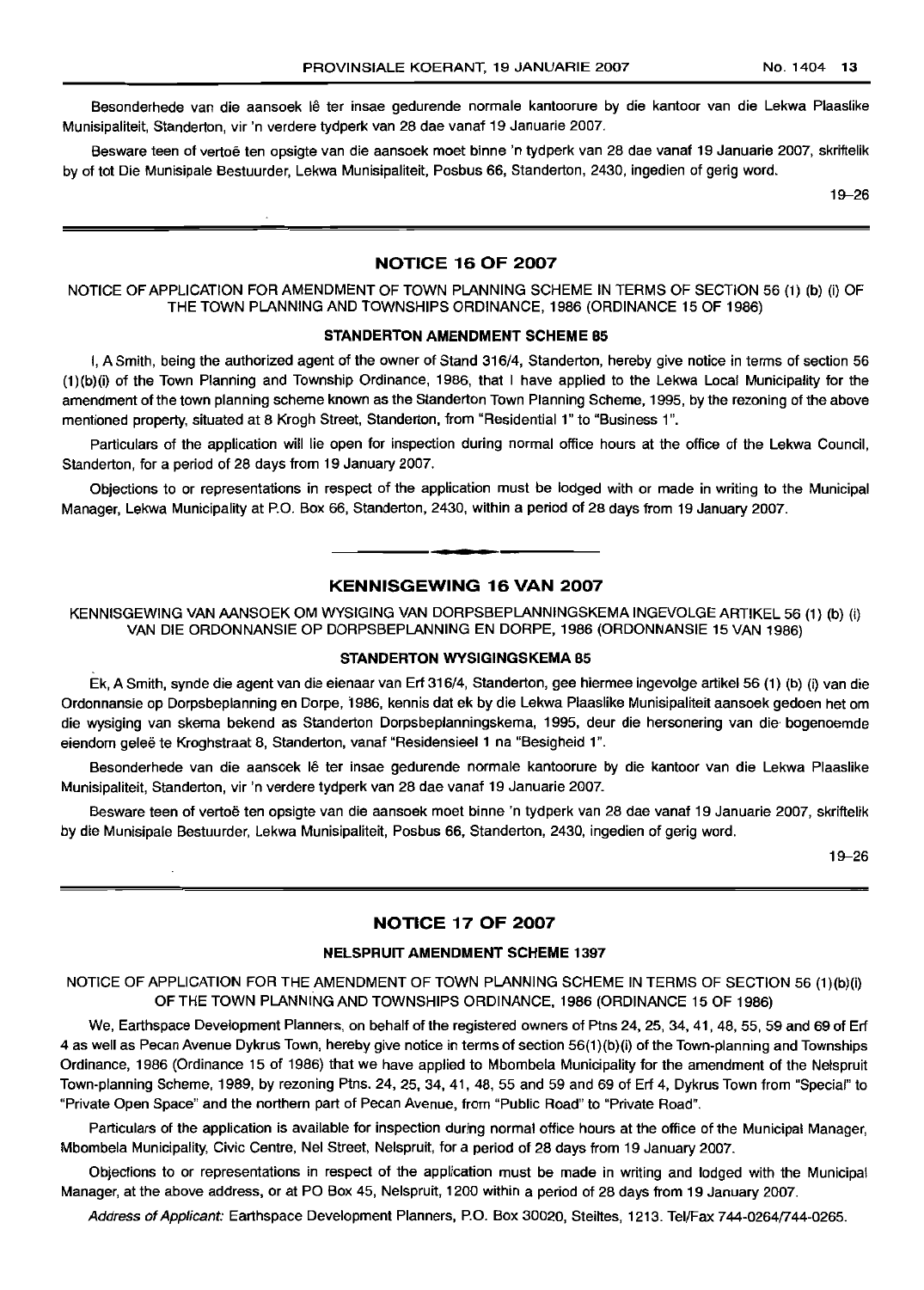Besonderhede van die aansoek lê ter insae gedurende normale kantoorure by die kantoor van die Lekwa Plaaslike Munisipaliteit, Standerton, vir 'n verdere tydperk van 28 dae vanaf 19 Januarie 2007.

Besware teen of vertoe ten opsigte van die aansoek moet binne 'n tydperk van 28 dae vanaf 19 Januarie 2007, skriftelik by of tot Die Munisipale Bestuurder, Lekwa Munisipaliteit, Posbus 66, Standerton, 2430, ingedien of gerig word.

19-26

# **NOTICE 16 OF 2007**

NOTICE OF APPLICATION FOR AMENDMENT OF TOWN PLANNING SCHEME IN TERMS OF SECTION 56 (1) (b) (i) OF THE TOWN PLANNING AND TOWNSHIPS ORDINANCE, 1986 (ORDINANCE 15 OF 1986)

#### **STANDERTON AMENDMENT SCHEME 85**

I, A Smith, being the authorized agent of the owner of Stand 316/4, Standerton, hereby give notice in terms of section 56 (1 )(b)(i) of the Town Planning and Township Ordinance, 1986, that I have applied to the Lekwa Local Municipality for the amendment of the town planning scheme known as the Standerton Town Planning Scheme, 1995, by the rezoning of the above mentioned property, situated at 8 Krogh Street, Standerton, from "Residential 1" to "Business 1".

Particulars of the application will lie open for inspection during normal office hours at the office of the Lekwa Council, Standerton, for a period of 28 days from 19 January 2007.

Objections to or representations in respect of the application must be lodged with or made in writing to the Municipal Manager, Lekwa Municipality at P.O. Box 66, Standerton, 2430, within a period of 28 days from 19 January 2007.

#### **KENNISGEWING 16 VAN 2007**

**•**

KENNISGEWING VAN AANSOEK OM WYSIGING VAN DORPSBEPLANNINGSKEMA INGEVOLGE ARTIKEL 56 (1) (b) (i) VAN DIE ORDONNANSIE OP DORPSBEPLANNING EN DORPE, 1986 (ORDONNANSIE 15 VAN 1986)

#### **STANDERTON WYSIGINGSKEMA 85**

Ek, A Smith, synde die agent van die eienaar van Erf 316/4, Standerton, gee hiermee ingevolge artikel 56 (1) (b) (i) van die Ordonnansie op Dorpsbeplanning en Dorpe, 1986, kennis dat ek by die Lekwa Plaaslike Munisipaliteit aansoek gedoen het om die wysiging van skema bekend as Standerton Dorpsbeplanningskema, 1995, deur die hersonering van die bogenoemde eiendom geleë te Kroghstraat 8, Standerton, vanaf "Residensieel 1 na "Besigheid 1".

Besonderhede van die aansoek Iê ter insae gedurende normale kantoorure by die kantoor van die Lekwa Plaaslike Munisipaliteit, Standerton, vir 'n verdere tydperk van 28 dae vanaf 19 Januarie 2007.

Besware teen of vertoë ten opsigte van die aansoek moet binne 'n tydperk van 28 dae vanaf 19 Januarie 2007, skriftelik by die Munisipale Bestuurder, Lekwa Munisipaliteit, Posbus 66, Standerton, 2430, ingedien of gerig word.

19-26

# **NOTICE 17 OF 2007**

#### **NELSPRUIT AMENDMENT SCHEME** 1397

NOTICE OF APPLICATION FOR THE AMENDMENT OF TOWN PLANNING SCHEME IN TERMS OF SECTION 56 (1)(b)(i) OF THE TOWN PLANNING AND TOWNSHIPS ORDINANCE, 1986 (ORDINANCE 15 OF 1986)

We, Earthspace Development Planners, on behalf of the registered owners of Ptns 24, 25, 34, 41, 48, 55, 59 and 69 of Erf 4 as well as Pecan Avenue Dykrus Town, hereby give notice in terms of section 56(1)(b)(i) of the Town-planning and Townships Ordinance, 1986 (Ordinance 15 of 1986) that we have applied to Mbombela Municipality for the amendment of the Nelspruit Town-planning Scheme, 1989, by rezoning Ptns. 24, 25, 34, 41, 48, 55 and 59 and 69 of Erf 4, Dykrus Town from "Special" to "Private Open Space" and the northern part of Pecan Avenue, from "Public Road" to "Private Road".

Particulars of the application is available for inspection during normal office hours at the office of the Municipal Manager, Mbombela Municipality, Civic Centre, Nel Street, Nelspruit, for a period of 28 days from 19 January 2007.

Objections to or representations in respect of the application must be made in writing and lodged with the Municipal Manager, at the above address, or at PO Box 45, Nelspruit, 1200 within a period of 28 days from 19 January 2007.

Address of Applicant: Earthspace Development Planners, P.O. Box 30020, Steiltes, 1213. Tel/Fax 744-0264/744-0265.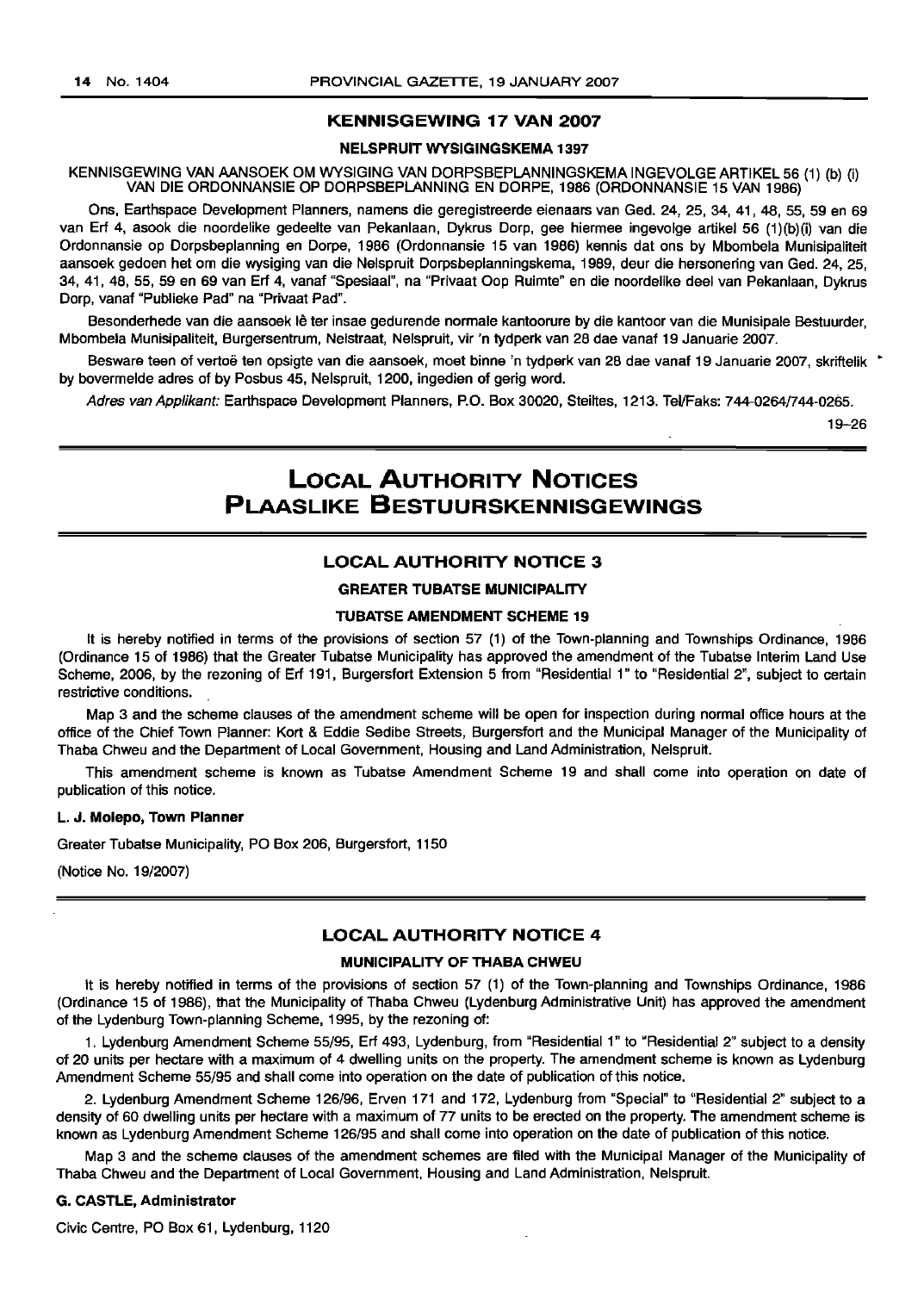# KENNISGEWING 17 VAN 2007

#### NELSPRUIT WYSIGINGSKEMA 1397

KENNISGEWING VAN AANSOEK OM WYSIGING VAN DORPSBEPLANNINGSKEMA INGEVOLGE ARTIKEL 56 (1) (b) (i) VAN DIE ORDONNANSIE OP DORPSBEPLANNING EN DORPE, 1986 (ORDONNANSIE 15 VAN 1986)

Ons, Earthspace Development Planners, namens die geregistreerde eienaars van Ged. 24, 25, 34, 41,48,55,59 en 69 van Erf 4, asook die noordelike gedeelte van Pekanlaan, Dykrus Dorp, gee hiermee ingevolge artikel 56 (1)(b)(i) van die Ordonnansie op Dorpsbeplanning en Dorpe, 1986 (Ordonnansie 15 van 1986) kennis dat ons by Mbombela Munisipaliteit aansoek gedoen het om die wysiging van die Nelspruit Dorpsbeplanningskema, 1989, deur die hersonering van Ged. 24, 25, 34, 41, 48, 55, 59 en 69 van Erf 4, vanaf "Spesiaal", na "Privaat Oop Ruimte" en die noordelike deel van Pekanlaan, Dykrus Dorp, vanaf "Publieke Pad" na "Privaat Pad".

Besonderhede van die aansoek lê ter insae gedurende normale kantoorure by die kantoor van die Munisipale Bestuurder, Mbombela Munisipaliteit, Burgersentrum, Nelstraat, Nelspruit, vir 'n tydperk van 28 dae vanaf 19 Januarie 2007.

Besware teen of vertoë ten opsigte van die aansoek, moet binne 'n tydperk van 28 dae vanaf 19 Januarie 2007, skriftelik \* by bovermelde adres of by Posbus 45, Nelspruit, 1200, ingedien of gerig word.

Adres van Applikant: Earthspace Development Planners, P.O. Box 30020, Steiltes, 1213. Tel/Faks: 744-0264/744-0265.

19-26

# LOCAL AUTHORITY NOTICES PLAASLIKE BESTUURSKENNISGEWINGS

# LOCAL AUTHORITY NOTICE 3

#### GREATER TUBATSE MUNICIPALITY

#### TUBATSE AMENDMENT SCHEME 19

It is hereby notified in terms of the provisions of section 57 (1) of the Town-planning and Townships Ordinance, 1986 (Ordinance 15 of 1986) that the Greater Tubatse Municipality has approved the amendment of the Tubatse Interim Land Use Scheme, 2006, by the rezoning of Erf 191, Burgersfort Extension 5 from "Residential 1" to "Residential 2", subject to certain restrictive conditions.

Map 3 and the scheme clauses of the amendment scheme will be open for inspection during normal office hours at the office of the Chief Town Planner: Kart & Eddie Sedibe Streets, Burgersfort and the Municipal Manager of the Municipality of Thaba Chweu and the Department of Local Government, Housing and Land Administration, Nelspruit.

This amendment scheme is known as Tubatse Amendment Scheme 19 and shall come into operation on date of publication of this notice.

#### L. J. Molepo, Town Planner

Greater Tubatse Municipality, PO Box 206, Burgersfort, 1150

(Notice No. 19/2007)

### LOCAL AUTHORITY NOTICE 4

# MUNICIPALITY OF THABA CHWEU

It is hereby notified in terms of the provisions of section 57 (1) of the Town-planning and Townships Ordinance, 1986 (Ordinance 15 of 1986), that the Municipality of Thaba Chweu (Lydenburg Administrative Unit) has approved the amendment of the Lydenburg Town-planning Scheme, 1995, by 1he rezoning of:

1. Lydenburg Amendment Scheme 55/95, Erf 493, Lydenburg, from "Residential 1" to "Residential 2" subject to a density of 20 units per hectare with a maximum of 4 dwelling units on the property. The amendment scheme is known as Lydenburg Amendment Scheme 55/95 and shall come into operation on the date of publication of this notice.

2. Lydenburg Amendment Scheme 126/96, Erven 171 and 172, Lydenburg from "Special" to "Residential 2" subject to a density of 60 dwelling units per hectare with a maximum of 77 units to be erected on the property. The amendment scheme is known as Lydenburg Amendment Scheme 126/95 and shall come into operation on the date of publication of this notice.

Map 3 and the scheme clauses of the amendment schemes are filed with the Municipal Manager of the Municipality of Thaba Chweu and the Department of Local Government, Housing and Land Administration, Nelspruit.

#### G. CASTLE, Administrator

Civic Centre, PO Box 61, Lydenburg, 1120